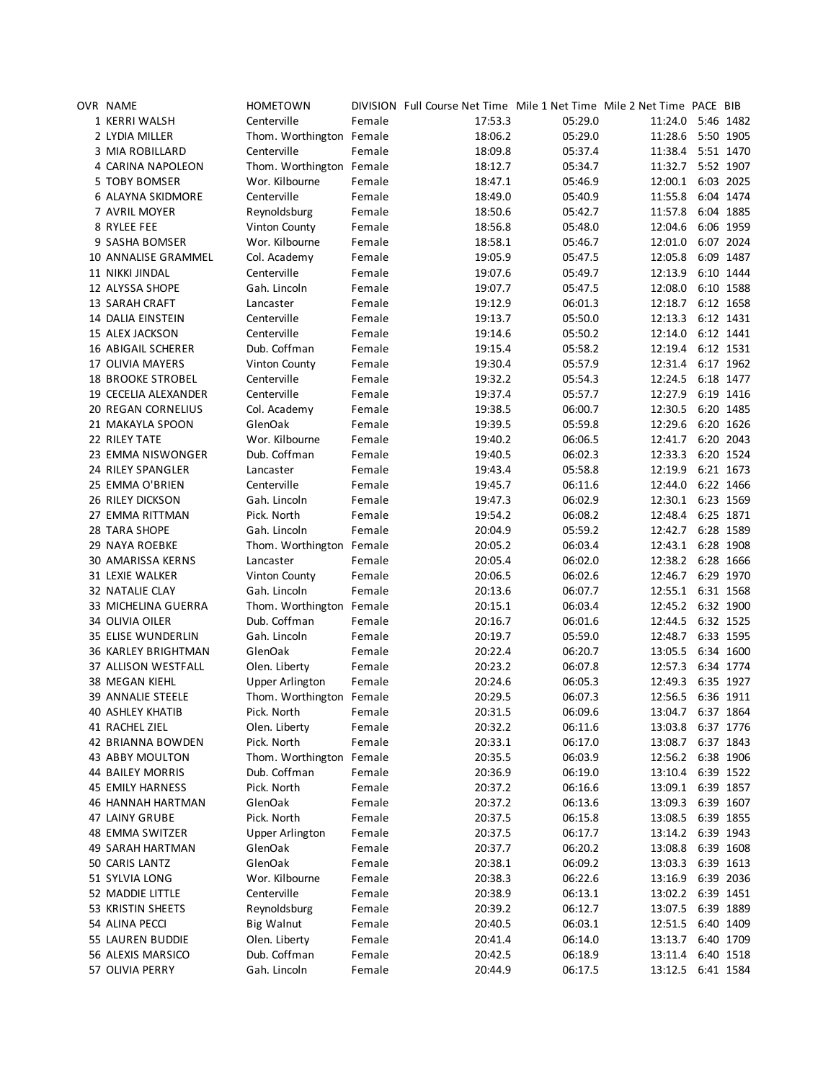| OVR NAME                   | <b>HOMETOWN</b>          |        | DIVISION Full Course Net Time Mile 1 Net Time Mile 2 Net Time PACE BIB |         |                   |           |           |
|----------------------------|--------------------------|--------|------------------------------------------------------------------------|---------|-------------------|-----------|-----------|
| 1 KERRI WALSH              | Centerville              | Female | 17:53.3                                                                | 05:29.0 | 11:24.0 5:46 1482 |           |           |
| 2 LYDIA MILLER             | Thom. Worthington Female |        | 18:06.2                                                                | 05:29.0 | 11:28.6           | 5:50 1905 |           |
| 3 MIA ROBILLARD            | Centerville              | Female | 18:09.8                                                                | 05:37.4 | 11:38.4 5:51 1470 |           |           |
| 4 CARINA NAPOLEON          | Thom. Worthington Female |        | 18:12.7                                                                | 05:34.7 | 11:32.7 5:52 1907 |           |           |
| 5 TOBY BOMSER              | Wor. Kilbourne           | Female | 18:47.1                                                                | 05:46.9 | 12:00.1           |           | 6:03 2025 |
| 6 ALAYNA SKIDMORE          | Centerville              | Female | 18:49.0                                                                | 05:40.9 | 11:55.8           |           | 6:04 1474 |
| 7 AVRIL MOYER              | Reynoldsburg             | Female | 18:50.6                                                                | 05:42.7 | 11:57.8           |           | 6:04 1885 |
| 8 RYLEE FEE                | Vinton County            | Female | 18:56.8                                                                | 05:48.0 | 12:04.6           |           | 6:06 1959 |
| 9 SASHA BOMSER             | Wor. Kilbourne           | Female | 18:58.1                                                                | 05:46.7 | 12:01.0           |           | 6:07 2024 |
| <b>10 ANNALISE GRAMMEL</b> | Col. Academy             | Female | 19:05.9                                                                | 05:47.5 | 12:05.8           |           | 6:09 1487 |
| 11 NIKKI JINDAL            | Centerville              | Female | 19:07.6                                                                | 05:49.7 | 12:13.9           |           | 6:10 1444 |
| 12 ALYSSA SHOPE            | Gah. Lincoln             | Female | 19:07.7                                                                | 05:47.5 | 12:08.0           |           | 6:10 1588 |
| <b>13 SARAH CRAFT</b>      | Lancaster                | Female | 19:12.9                                                                | 06:01.3 | 12:18.7 6:12 1658 |           |           |
| 14 DALIA EINSTEIN          | Centerville              | Female | 19:13.7                                                                | 05:50.0 | 12:13.3           |           | 6:12 1431 |
| 15 ALEX JACKSON            | Centerville              | Female | 19:14.6                                                                | 05:50.2 | 12:14.0           |           | 6:12 1441 |
| <b>16 ABIGAIL SCHERER</b>  | Dub. Coffman             | Female | 19:15.4                                                                | 05:58.2 | 12:19.4           | 6:12 1531 |           |
| 17 OLIVIA MAYERS           | Vinton County            | Female | 19:30.4                                                                | 05:57.9 | 12:31.4           |           | 6:17 1962 |
| <b>18 BROOKE STROBEL</b>   | Centerville              | Female |                                                                        | 05:54.3 | 12:24.5           |           | 6:18 1477 |
| 19 CECELIA ALEXANDER       | Centerville              | Female | 19:32.2<br>19:37.4                                                     | 05:57.7 | 12:27.9 6:19 1416 |           |           |
|                            |                          |        |                                                                        |         |                   |           |           |
| <b>20 REGAN CORNELIUS</b>  | Col. Academy             | Female | 19:38.5                                                                | 06:00.7 | 12:30.5           | 6:20 1485 |           |
| 21 MAKAYLA SPOON           | GlenOak                  | Female | 19:39.5                                                                | 05:59.8 | 12:29.6           |           | 6:20 1626 |
| 22 RILEY TATE              | Wor. Kilbourne           | Female | 19:40.2                                                                | 06:06.5 | 12:41.7           |           | 6:20 2043 |
| 23 EMMA NISWONGER          | Dub. Coffman             | Female | 19:40.5                                                                | 06:02.3 | 12:33.3           |           | 6:20 1524 |
| 24 RILEY SPANGLER          | Lancaster                | Female | 19:43.4                                                                | 05:58.8 | 12:19.9           |           | 6:21 1673 |
| 25 EMMA O'BRIEN            | Centerville              | Female | 19:45.7                                                                | 06:11.6 | 12:44.0           |           | 6:22 1466 |
| <b>26 RILEY DICKSON</b>    | Gah. Lincoln             | Female | 19:47.3                                                                | 06:02.9 | 12:30.1 6:23 1569 |           |           |
| 27 EMMA RITTMAN            | Pick. North              | Female | 19:54.2                                                                | 06:08.2 | 12:48.4 6:25 1871 |           |           |
| 28 TARA SHOPE              | Gah. Lincoln             | Female | 20:04.9                                                                | 05:59.2 | 12:42.7           |           | 6:28 1589 |
| <b>29 NAYA ROEBKE</b>      | Thom. Worthington Female |        | 20:05.2                                                                | 06:03.4 | 12:43.1           |           | 6:28 1908 |
| 30 AMARISSA KERNS          | Lancaster                | Female | 20:05.4                                                                | 06:02.0 | 12:38.2           |           | 6:28 1666 |
| 31 LEXIE WALKER            | Vinton County            | Female | 20:06.5                                                                | 06:02.6 | 12:46.7           |           | 6:29 1970 |
| 32 NATALIE CLAY            | Gah. Lincoln             | Female | 20:13.6                                                                | 06:07.7 | 12:55.1 6:31 1568 |           |           |
| 33 MICHELINA GUERRA        | Thom. Worthington Female |        | 20:15.1                                                                | 06:03.4 | 12:45.2 6:32 1900 |           |           |
| 34 OLIVIA OILER            | Dub. Coffman             | Female | 20:16.7                                                                | 06:01.6 | 12:44.5           | 6:32 1525 |           |
| <b>35 ELISE WUNDERLIN</b>  | Gah. Lincoln             | Female | 20:19.7                                                                | 05:59.0 | 12:48.7           |           | 6:33 1595 |
| <b>36 KARLEY BRIGHTMAN</b> | GlenOak                  | Female | 20:22.4                                                                | 06:20.7 | 13:05.5           |           | 6:34 1600 |
| 37 ALLISON WESTFALL        | Olen. Liberty            | Female | 20:23.2                                                                | 06:07.8 | 12:57.3 6:34 1774 |           |           |
| 38 MEGAN KIEHL             | <b>Upper Arlington</b>   | Female | 20:24.6                                                                | 06:05.3 | 12:49.3 6:35 1927 |           |           |
| <b>39 ANNALIE STEELE</b>   | Thom. Worthington Female |        | 20:29.5                                                                | 06:07.3 | 12:56.5 6:36 1911 |           |           |
| <b>40 ASHLEY KHATIB</b>    | Pick. North              | Female | 20:31.5                                                                | 06:09.6 | 13:04.7 6:37 1864 |           |           |
| 41 RACHEL ZIEL             | Olen. Liberty            | Female | 20:32.2                                                                | 06:11.6 | 13:03.8 6:37 1776 |           |           |
| 42 BRIANNA BOWDEN          | Pick. North              | Female | 20:33.1                                                                | 06:17.0 | 13:08.7 6:37 1843 |           |           |
| 43 ABBY MOULTON            | Thom. Worthington Female |        | 20:35.5                                                                | 06:03.9 | 12:56.2 6:38 1906 |           |           |
| <b>44 BAILEY MORRIS</b>    | Dub. Coffman             | Female | 20:36.9                                                                | 06:19.0 | 13:10.4           |           | 6:39 1522 |
| <b>45 EMILY HARNESS</b>    | Pick. North              | Female | 20:37.2                                                                | 06:16.6 | 13:09.1 6:39 1857 |           |           |
| 46 HANNAH HARTMAN          | GlenOak                  | Female | 20:37.2                                                                | 06:13.6 | 13:09.3 6:39 1607 |           |           |
| 47 LAINY GRUBE             | Pick. North              | Female | 20:37.5                                                                | 06:15.8 | 13:08.5 6:39 1855 |           |           |
| 48 EMMA SWITZER            | <b>Upper Arlington</b>   | Female | 20:37.5                                                                | 06:17.7 | 13:14.2 6:39 1943 |           |           |
| <b>49 SARAH HARTMAN</b>    | GlenOak                  | Female | 20:37.7                                                                | 06:20.2 | 13:08.8           | 6:39 1608 |           |
| 50 CARIS LANTZ             | GlenOak                  | Female | 20:38.1                                                                | 06:09.2 | 13:03.3 6:39 1613 |           |           |
| 51 SYLVIA LONG             | Wor. Kilbourne           | Female | 20:38.3                                                                | 06:22.6 | 13:16.9           |           | 6:39 2036 |
| 52 MADDIE LITTLE           | Centerville              | Female | 20:38.9                                                                | 06:13.1 | 13:02.2 6:39 1451 |           |           |
|                            |                          |        |                                                                        |         |                   |           |           |
| 53 KRISTIN SHEETS          | Reynoldsburg             | Female | 20:39.2                                                                | 06:12.7 | 13:07.5           | 6:39 1889 |           |
| 54 ALINA PECCI             | <b>Big Walnut</b>        | Female | 20:40.5                                                                | 06:03.1 | 12:51.5           |           | 6:40 1409 |
| 55 LAUREN BUDDIE           | Olen. Liberty            | Female | 20:41.4                                                                | 06:14.0 | 13:13.7           |           | 6:40 1709 |
| 56 ALEXIS MARSICO          | Dub. Coffman             | Female | 20:42.5                                                                | 06:18.9 | 13:11.4           |           | 6:40 1518 |
| 57 OLIVIA PERRY            | Gah. Lincoln             | Female | 20:44.9                                                                | 06:17.5 | 13:12.5 6:41 1584 |           |           |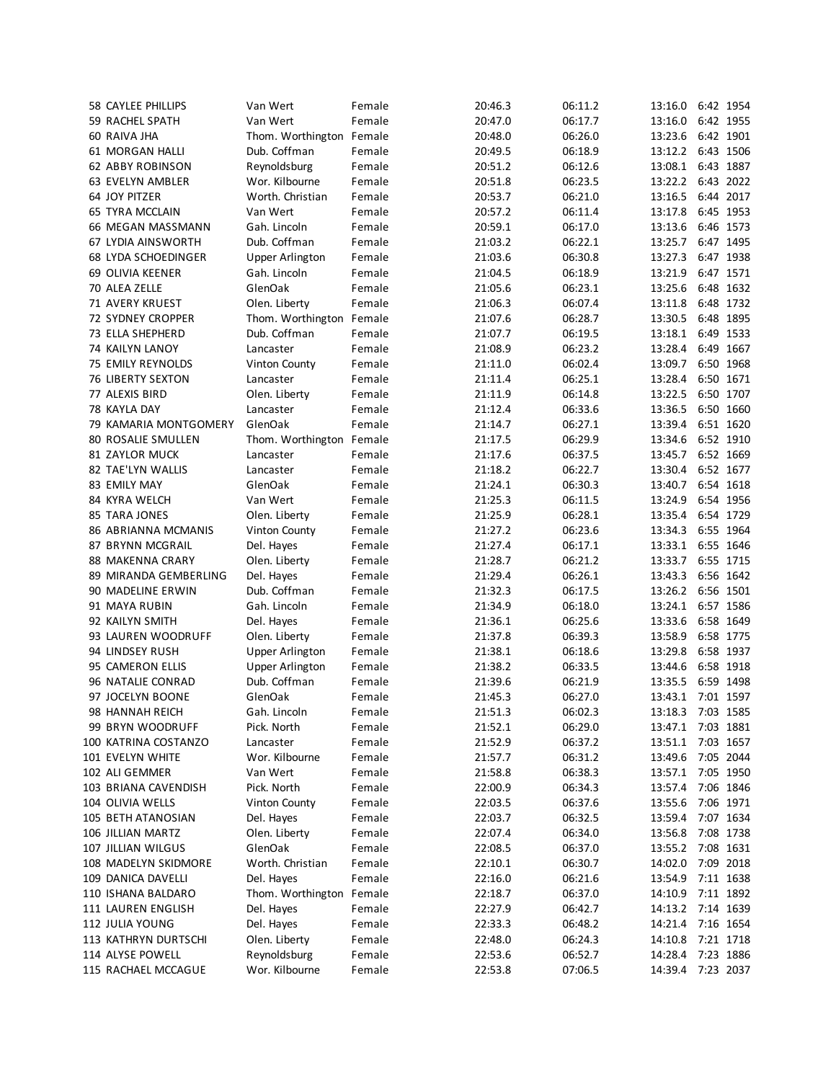| <b>58 CAYLEE PHILLIPS</b>  | Van Wert                 | Female | 20:46.3 | 06:11.2 | 13:16.0           |           | 6:42 1954 |
|----------------------------|--------------------------|--------|---------|---------|-------------------|-----------|-----------|
| <b>59 RACHEL SPATH</b>     | Van Wert                 | Female | 20:47.0 | 06:17.7 | 13:16.0           |           | 6:42 1955 |
| 60 RAIVA JHA               | Thom. Worthington Female |        | 20:48.0 | 06:26.0 | 13:23.6           |           | 6:42 1901 |
| 61 MORGAN HALLI            | Dub. Coffman             | Female | 20:49.5 | 06:18.9 | 13:12.2           |           | 6:43 1506 |
| <b>62 ABBY ROBINSON</b>    | Reynoldsburg             | Female | 20:51.2 | 06:12.6 | 13:08.1           |           | 6:43 1887 |
| 63 EVELYN AMBLER           | Wor. Kilbourne           | Female | 20:51.8 | 06:23.5 | 13:22.2           |           | 6:43 2022 |
| 64 JOY PITZER              | Worth. Christian         | Female | 20:53.7 | 06:21.0 | 13:16.5           |           | 6:44 2017 |
| <b>65 TYRA MCCLAIN</b>     | Van Wert                 | Female | 20:57.2 | 06:11.4 | 13:17.8           |           | 6:45 1953 |
| 66 MEGAN MASSMANN          | Gah. Lincoln             | Female | 20:59.1 | 06:17.0 | 13:13.6           |           | 6:46 1573 |
| <b>67 LYDIA AINSWORTH</b>  | Dub. Coffman             | Female | 21:03.2 | 06:22.1 | 13:25.7           |           | 6:47 1495 |
| <b>68 LYDA SCHOEDINGER</b> | <b>Upper Arlington</b>   | Female | 21:03.6 | 06:30.8 | 13:27.3           |           | 6:47 1938 |
| <b>69 OLIVIA KEENER</b>    | Gah. Lincoln             | Female | 21:04.5 | 06:18.9 | 13:21.9           |           | 6:47 1571 |
| 70 ALEA ZELLE              | GlenOak                  | Female |         | 06:23.1 |                   |           | 6:48 1632 |
|                            |                          |        | 21:05.6 |         | 13:25.6           |           |           |
| 71 AVERY KRUEST            | Olen. Liberty            | Female | 21:06.3 | 06:07.4 | 13:11.8           |           | 6:48 1732 |
| <b>72 SYDNEY CROPPER</b>   | Thom. Worthington Female |        | 21:07.6 | 06:28.7 | 13:30.5           |           | 6:48 1895 |
| 73 ELLA SHEPHERD           | Dub. Coffman             | Female | 21:07.7 | 06:19.5 | 13:18.1           |           | 6:49 1533 |
| 74 KAILYN LANOY            | Lancaster                | Female | 21:08.9 | 06:23.2 | 13:28.4           |           | 6:49 1667 |
| 75 EMILY REYNOLDS          | Vinton County            | Female | 21:11.0 | 06:02.4 | 13:09.7           |           | 6:50 1968 |
| <b>76 LIBERTY SEXTON</b>   | Lancaster                | Female | 21:11.4 | 06:25.1 | 13:28.4           |           | 6:50 1671 |
| 77 ALEXIS BIRD             | Olen. Liberty            | Female | 21:11.9 | 06:14.8 | 13:22.5           |           | 6:50 1707 |
| 78 KAYLA DAY               | Lancaster                | Female | 21:12.4 | 06:33.6 | 13:36.5           |           | 6:50 1660 |
| 79 KAMARIA MONTGOMERY      | GlenOak                  | Female | 21:14.7 | 06:27.1 | 13:39.4           |           | 6:51 1620 |
| 80 ROSALIE SMULLEN         | Thom. Worthington Female |        | 21:17.5 | 06:29.9 | 13:34.6           |           | 6:52 1910 |
| <b>81 ZAYLOR MUCK</b>      | Lancaster                | Female | 21:17.6 | 06:37.5 | 13:45.7           |           | 6:52 1669 |
| 82 TAE'LYN WALLIS          | Lancaster                | Female | 21:18.2 | 06:22.7 | 13:30.4           |           | 6:52 1677 |
| 83 EMILY MAY               | GlenOak                  | Female | 21:24.1 | 06:30.3 | 13:40.7           |           | 6:54 1618 |
|                            |                          |        |         |         |                   |           |           |
| 84 KYRA WELCH              | Van Wert                 | Female | 21:25.3 | 06:11.5 | 13:24.9           |           | 6:54 1956 |
| 85 TARA JONES              | Olen. Liberty            | Female | 21:25.9 | 06:28.1 | 13:35.4           |           | 6:54 1729 |
| 86 ABRIANNA MCMANIS        | <b>Vinton County</b>     | Female | 21:27.2 | 06:23.6 | 13:34.3           |           | 6:55 1964 |
| 87 BRYNN MCGRAIL           | Del. Hayes               | Female | 21:27.4 | 06:17.1 | 13:33.1           |           | 6:55 1646 |
| 88 MAKENNA CRARY           | Olen. Liberty            | Female | 21:28.7 | 06:21.2 | 13:33.7           |           | 6:55 1715 |
| 89 MIRANDA GEMBERLING      | Del. Hayes               | Female | 21:29.4 | 06:26.1 | 13:43.3           |           | 6:56 1642 |
| 90 MADELINE ERWIN          | Dub. Coffman             | Female | 21:32.3 | 06:17.5 | 13:26.2           |           | 6:56 1501 |
| 91 MAYA RUBIN              | Gah. Lincoln             | Female | 21:34.9 | 06:18.0 | 13:24.1           |           | 6:57 1586 |
| 92 KAILYN SMITH            | Del. Hayes               | Female | 21:36.1 | 06:25.6 | 13:33.6           | 6:58 1649 |           |
| 93 LAUREN WOODRUFF         | Olen. Liberty            | Female | 21:37.8 | 06:39.3 | 13:58.9           |           | 6:58 1775 |
| 94 LINDSEY RUSH            | <b>Upper Arlington</b>   | Female | 21:38.1 | 06:18.6 | 13:29.8           |           | 6:58 1937 |
| 95 CAMERON ELLIS           | <b>Upper Arlington</b>   | Female | 21:38.2 | 06:33.5 | 13:44.6           |           | 6:58 1918 |
| 96 NATALIE CONRAD          | Dub. Coffman             | Female | 21:39.6 | 06:21.9 | 13:35.5           |           | 6:59 1498 |
|                            | GlenOak                  |        |         |         | 13:43.1 7:01 1597 |           |           |
| 97 JOCELYN BOONE           |                          | Female | 21:45.3 | 06:27.0 |                   |           |           |
| 98 HANNAH REICH            | Gah. Lincoln             | Female | 21:51.3 | 06:02.3 | 13:18.3 7:03 1585 |           |           |
| 99 BRYN WOODRUFF           | Pick. North              | Female | 21:52.1 | 06:29.0 | 13:47.1           |           | 7:03 1881 |
| 100 KATRINA COSTANZO       | Lancaster                | Female | 21:52.9 | 06:37.2 | 13:51.1           |           | 7:03 1657 |
| 101 EVELYN WHITE           | Wor. Kilbourne           | Female | 21:57.7 | 06:31.2 | 13:49.6           |           | 7:05 2044 |
| 102 ALI GEMMER             | Van Wert                 | Female | 21:58.8 | 06:38.3 | 13:57.1           |           | 7:05 1950 |
| 103 BRIANA CAVENDISH       | Pick. North              | Female | 22:00.9 | 06:34.3 | 13:57.4           |           | 7:06 1846 |
| 104 OLIVIA WELLS           | Vinton County            | Female | 22:03.5 | 06:37.6 | 13:55.6           |           | 7:06 1971 |
| 105 BETH ATANOSIAN         | Del. Hayes               | Female | 22:03.7 | 06:32.5 | 13:59.4           |           | 7:07 1634 |
| 106 JILLIAN MARTZ          | Olen. Liberty            | Female | 22:07.4 | 06:34.0 | 13:56.8           |           | 7:08 1738 |
| 107 JILLIAN WILGUS         | GlenOak                  | Female | 22:08.5 | 06:37.0 | 13:55.2           |           | 7:08 1631 |
| 108 MADELYN SKIDMORE       | Worth. Christian         | Female | 22:10.1 | 06:30.7 | 14:02.0           |           | 7:09 2018 |
|                            |                          |        |         |         |                   |           |           |
| 109 DANICA DAVELLI         | Del. Hayes               | Female | 22:16.0 | 06:21.6 | 13:54.9           |           | 7:11 1638 |
| 110 ISHANA BALDARO         | Thom. Worthington Female |        | 22:18.7 | 06:37.0 | 14:10.9           |           | 7:11 1892 |
| 111 LAUREN ENGLISH         | Del. Hayes               | Female | 22:27.9 | 06:42.7 | 14:13.2           |           | 7:14 1639 |
| 112 JULIA YOUNG            | Del. Hayes               | Female | 22:33.3 | 06:48.2 | 14:21.4           |           | 7:16 1654 |
| 113 KATHRYN DURTSCHI       | Olen. Liberty            | Female | 22:48.0 | 06:24.3 | 14:10.8           |           | 7:21 1718 |
| 114 ALYSE POWELL           | Reynoldsburg             | Female | 22:53.6 | 06:52.7 | 14:28.4           |           | 7:23 1886 |
| 115 RACHAEL MCCAGUE        | Wor. Kilbourne           | Female | 22:53.8 | 07:06.5 | 14:39.4           |           | 7:23 2037 |